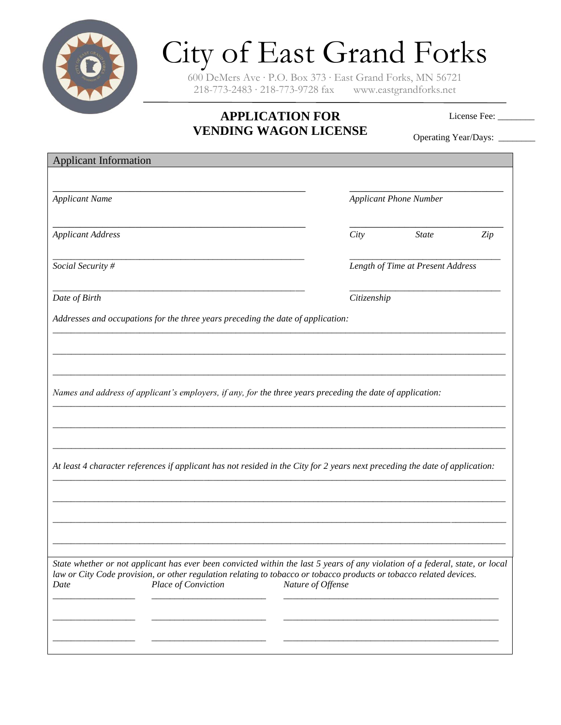

## City of East Grand Forks

600 DeMers Ave ∙ P.O. Box 373 ∙ East Grand Forks, MN 56721 218-773-2483 ∙ 218-773-9728 fax www.eastgrandforks.net

## **APPLICATION FOR VENDING WAGON LICENSE**

License Fee: \_\_\_\_\_\_\_\_

Operating Year/Days: \_\_\_\_\_\_\_\_

| <b>Applicant Information</b>                                                                                                                       |                   |                                   |     |  |
|----------------------------------------------------------------------------------------------------------------------------------------------------|-------------------|-----------------------------------|-----|--|
|                                                                                                                                                    |                   |                                   |     |  |
| <b>Applicant Name</b>                                                                                                                              |                   | <b>Applicant Phone Number</b>     |     |  |
| <b>Applicant Address</b>                                                                                                                           | City              | <b>State</b>                      | Zip |  |
| Social Security #                                                                                                                                  |                   | Length of Time at Present Address |     |  |
| Date of Birth                                                                                                                                      |                   | Citizenship                       |     |  |
| Addresses and occupations for the three years preceding the date of application:                                                                   |                   |                                   |     |  |
|                                                                                                                                                    |                   |                                   |     |  |
|                                                                                                                                                    |                   |                                   |     |  |
| Names and address of applicant's employers, if any, for the three years preceding the date of application:                                         |                   |                                   |     |  |
|                                                                                                                                                    |                   |                                   |     |  |
|                                                                                                                                                    |                   |                                   |     |  |
| At least 4 character references if applicant has not resided in the City for 2 years next preceding the date of application:                       |                   |                                   |     |  |
|                                                                                                                                                    |                   |                                   |     |  |
|                                                                                                                                                    |                   |                                   |     |  |
|                                                                                                                                                    |                   |                                   |     |  |
| State whether or not applicant has ever been convicted within the last 5 years of any violation of a federal, state, or local                      |                   |                                   |     |  |
| law or City Code provision, or other regulation relating to tobacco or tobacco products or tobacco related devices.<br>Place of Conviction<br>Date | Nature of Offense |                                   |     |  |
|                                                                                                                                                    |                   |                                   |     |  |
|                                                                                                                                                    |                   |                                   |     |  |
|                                                                                                                                                    |                   |                                   |     |  |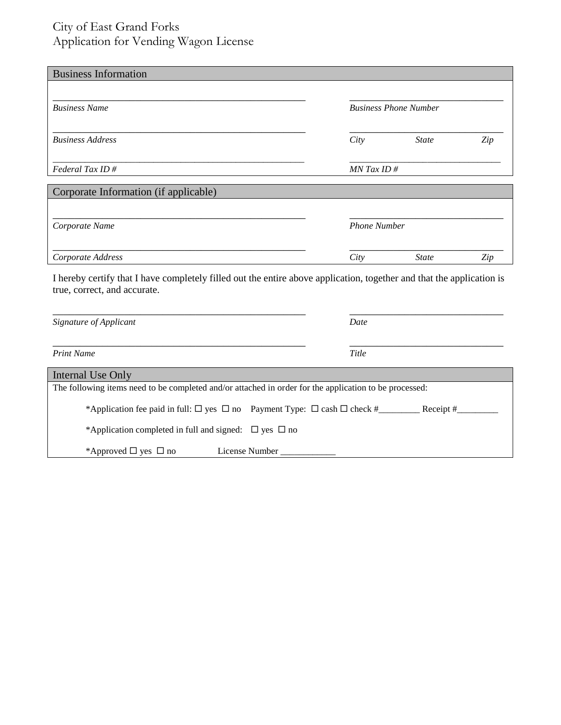## City of East Grand Forks Application for Vending Wagon License

| <b>Business Information</b>                                                                                                                           |                              |              |     |  |  |
|-------------------------------------------------------------------------------------------------------------------------------------------------------|------------------------------|--------------|-----|--|--|
| <b>Business Name</b>                                                                                                                                  | <b>Business Phone Number</b> |              |     |  |  |
| <b>Business Address</b>                                                                                                                               | City                         | <b>State</b> | Zip |  |  |
| Federal Tax ID#                                                                                                                                       | $MN$ Tax ID #                |              |     |  |  |
| Corporate Information (if applicable)                                                                                                                 |                              |              |     |  |  |
|                                                                                                                                                       |                              |              |     |  |  |
| Corporate Name                                                                                                                                        | <b>Phone Number</b>          |              |     |  |  |
| Corporate Address                                                                                                                                     | City                         | <b>State</b> | Zip |  |  |
| I hereby certify that I have completely filled out the entire above application, together and that the application is<br>true, correct, and accurate. |                              |              |     |  |  |
| Signature of Applicant                                                                                                                                | Date                         |              |     |  |  |
| <b>Print Name</b>                                                                                                                                     | Title                        |              |     |  |  |
| <b>Internal Use Only</b>                                                                                                                              |                              |              |     |  |  |
| The following items need to be completed and/or attached in order for the application to be processed:                                                |                              |              |     |  |  |
|                                                                                                                                                       |                              |              |     |  |  |
| *Application completed in full and signed: $\Box$ yes $\Box$ no                                                                                       |                              |              |     |  |  |

\*Approved  $\Box$  yes  $\Box$  no License Number